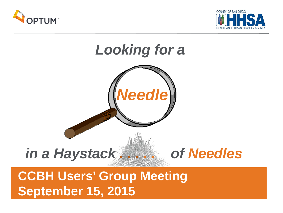





# **CCBH Users' Group Meeting September 15, 2015**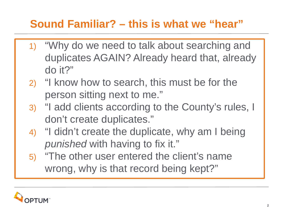### **Sound Familiar? – this is what we "hear"**

- 1) "Why do we need to talk about searching and duplicates AGAIN? Already heard that, already do it?"
- 2) "I know how to search, this must be for the person sitting next to me."
- 3) "I add clients according to the County's rules, I don't create duplicates."
- 4) "I didn't create the duplicate, why am I being *punished* with having to fix it."
- 5) "The other user entered the client's name wrong, why is that record being kept?"

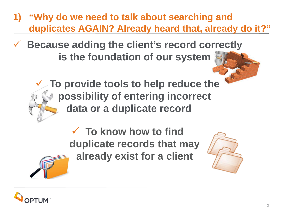- **1) "Why do we need to talk about searching and duplicates AGAIN? Already heard that, already do it?"**
- **Because adding the client's record c[orrectly](http://www.google.com/url?sa=i&rct=j&q=&esrc=s&frm=1&source=images&cd=&cad=rja&uact=8&ved=0CAcQjRxqFQoTCIjdw6De98cCFcUJkgodoAQLzQ&url=http://www.gograph.com/stock-illustration/construction.html&authuser=1&psig=AFQjCNHLn9OWHI1aBAksfZ1lVDiWLMKnXA&ust=1442361563150695)  is the foundation of our system** 
	- **[To](http://www.google.com/url?sa=i&rct=j&q=&esrc=s&frm=1&source=images&cd=&cad=rja&uact=8&ved=0CAcQjRxqFQoTCOjd-YPh98cCFQN-kgodWhIDdQ&url=http://www.psdgraphics.com/psd-icons/settings-icon-psd-hammer-and-wrench/&authuser=1&psig=AFQjCNEtaMrydAIxc9jv2qO6sg0m96sl9Q&ust=1442362438248410) provide tools to help reduce the possibility of entering incorrect data or a duplicate record**

 **To know how to find duplicate records that may already exist for a client**





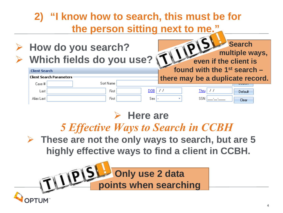### **2) "I know how to search, this must be for the person sitting next to me."**

 **How do you search? Which fields do you use?**

First

First

 **[mu](http://www.google.com/imgres?imgurl=http://crisscrossmarketingpros.com/wp-content/uploads/2014/03/mlm-success.jpg&imgrefurl=http://crisscrossmarketingpros.com/home-based-business-owners-and-7-mlm-success-tips/&h=608&w=800&tbnid=gC9MIsq-YoJlMM:&zoom=1&docid=khEoleBEd1IskM&ei=cozzU6_tHo-gogSduoDIAw&tbm=isch&ved=0CDgQMygKMAo&iact=rc&uact=3&dur=1528&page=2&start=8&ndsp=14)ltiple ways, even if the client is found with the 1st search – there may be a duplicate record.**  Sort Name  $DOB$  //  $Thru$  / /

SSN

**Search** 

Default

Clear

### **Here are**

Sex | -

### *5 Effective Ways to Search in CCBH*

 **These are not the only ways to search, but are 5 highly effective ways to find a client in CCBH.**

**Only use 2 data FILIPPE Only use 2 data** 

**Client Search** 

Case #

Alias Last

Last

**Client Search Parameters**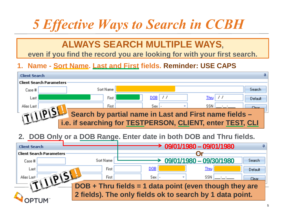# *5 Effective Ways to Search in CCBH*

### **ALWAYS SEARCH MULTIPLE WAYS,**

**even if you find the record you are looking for with your first search.**

### **1. Name - Sort Name. Last and First fields. Reminder: USE CAPS**



### **2. DOB Only or a DOB Range. Enter date in both DOB and Thru fields.**

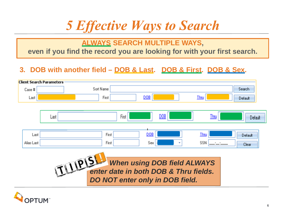# *5 Effective Ways to Search*

### **ALWAYS SEARCH MULTIPLE WAYS,**

**even if you find the record you are looking for with your first search.**

### **3. DOB with another field – DOB & Last. DOB & First. DOB & Sex.**



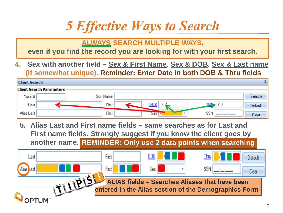# *5 Effective Ways to Search*

**ALWAYS SEARCH MULTIPLE WAYS,** 

**even if you find the record you are looking for with your first search.**

**4. Sex with another field – Sex & First Name. Sex & DOB. Sex & Last name (if somewhat unique). Reminder: Enter Date in both DOB & Thru fields**



**5. Alias Last and First name fields – same searches as for Last and First name fields. Strongly suggest if you know the client goes by another name. REMINDER: Only use 2 data points when searching**

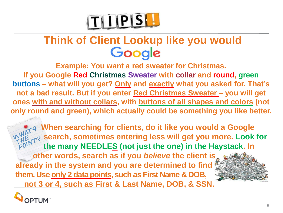

# **Think of Client Lookup like you would<br>Google**

**Example: You want a red sweater for Christmas. If you Google Red Christmas Sweater with collar and round, green buttons – what will you get? Only and exactly what you asked for. That's not a bad result. But if you enter Red Christmas Sweater – you will get ones with and without collars, with buttons of all shapes and colors (not only round and green), which actually could be something you like better.**

 **[Whe](http://www.google.com/url?sa=i&rct=j&q=&esrc=s&frm=1&source=images&cd=&cad=rja&uact=8&ved=0CAcQjRxqFQoTCP6bvZHX_McCFcp7kgodngsELw&url=http://info.designarts.net/blog/bid/34787/Continuing-Education-What-s-The-Point&bvm=bv.102829193,d.aWw&psig=AFQjCNFcaRMldMSlyBalqvN0jjzELKRaKw&ust=1442531566026645)n searching for clients, do it like you would a Google**   $\frac{d\mathbf{H}}{dt}$  search, sometimes entering less will get you more. Look for  **the many NEEDLES (not just the one) in the Haystack. In other words, search as if you** *believe* **the client i[s](http://blogs.biomedcentral.com/on-medicine/2014/12/01/research-involvement-and-engagement-partnership-with-patients-in-a-new-publication/)  already in the system and you are determined to find them. Use only 2 data points, such as First Name & DOB, not 3 or 4, such as First & Last Name, DOB, & SSN.** 

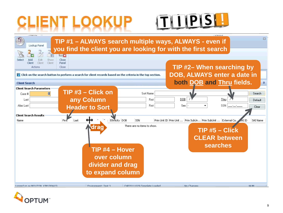

**LINGHING** Vuote  $\Sigma$ **TIP #1 – ALWAYS search multiple ways, ALWAYS - even if**  Lookup Panel **you find the client you are looking for with the first search**   $\Box x$ Edit Close hhA Show Client Client Panel Client **TIP #2– When searching by**  Actions Close **DOB, ALWAYS enter a date in**  T Click on the search button to perform a search for client records based on the criteria in the top section. **both DOB and Thru fields.**  $\mathfrak a$ **Client Search Client Search Parameters TIP #3 – Click on**  Sort Name n. Search Case # **any Column**  DOB Last First Thru Default Alias Last **Header to Sort** First Sex SSN Clear **Client Search Results** Name First Last Ethnicity DOB SSN Prim Unit ID Prim Unit ... Prim SubUn... Prim SubUnit ... External Ca... **AI ID** SAI Name There are no items to show. **drag TIP #5 – Click CLEAR between searchesTIP #4 – Hover over column divider and drag to expand column** Logged on as MOLIZON, KIM (00663) Fovironment: Test 3. CHP20111029 Template Loaded No Changes NLIM-

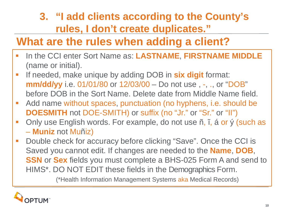### **3. "I add clients according to the County's rules, I don't create duplicates."**

### **What are the rules when adding a client?**

- **ID the CCI enter Sort Name as: LASTNAME, FIRSTNAME MIDDLE** (name or initial).
- **If needed, make unique by adding DOB in six digit format: mm/dd/yy** i.e. 01/01/80 or 12/03/00 – Do not use, -, ., or "DOB" before DOB in the Sort Name. Delete date from Middle Name field.
- Add name without spaces, punctuation (no hyphens, i.e. should be **DOESMITH** not DOE-SMITH) or suffix (no "Jr." or "Sr." or "II")
- **-** Only use English words. For example, do not use ñ, î, á or ý (such as – **Muniz** not Muñiz)
- **Double check for accuracy before clicking "Save". Once the CCI is** Saved you cannot edit. If changes are needed to the **Name**, **DOB**, **SSN** or **Sex** fields you must complete a BHS-025 Form A and send to HIMS\*. DO NOT EDIT these fields in the Demographics Form.

(\*Health Information Management Systems aka Medical Records)

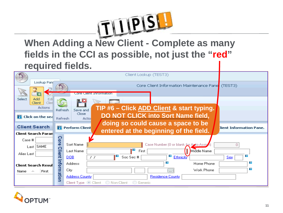

**When Adding a [New Client -](http://www.google.com/imgres?imgurl=http://crisscrossmarketingpros.com/wp-content/uploads/2014/03/mlm-success.jpg&imgrefurl=http://crisscrossmarketingpros.com/home-based-business-owners-and-7-mlm-success-tips/&h=608&w=800&tbnid=gC9MIsq-YoJlMM:&zoom=1&docid=khEoleBEd1IskM&ei=cozzU6_tHo-gogSduoDIAw&tbm=isch&ved=0CDgQMygKMAo&iact=rc&uact=3&dur=1528&page=2&start=8&ndsp=14) Complete as many fields in the CCI as possible, not just the "red" required fields.**



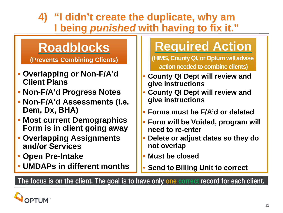**4) "I didn't create the duplicate, why am I being** *punished* **with having to fix it."**

## **Roadblocks**

**(Prevents Combining Clients)**

- **Overlapping or Non-F/A'd Client Plans**
- **Non-F/A'd Progress Notes**
- **Non-F/A'd Assessments (i.e. Dem, Dx, BHA)**
- **Most current Demographics Form is in client going away**
- **Overlapping Assignments and/or Services**
- **Open Pre-Intake**
- **UMDAPs in different months**

# **Required Action**

**(HIMS, County QI, or Optum will advise action needed to combine clients)**

- **County QI Dept will review and give instructions**
- **County QI Dept will review and give instructions**
- **Forms must be F/A'd or deleted**
- **Form will be Voided, program will need to re-enter**
- **Delete or adjust dates so they do not overlap**
- **Must be closed**
- **Send to Billing Unit to correct**

**The focus is on the client. The goal is to have only one correct record for each client.**

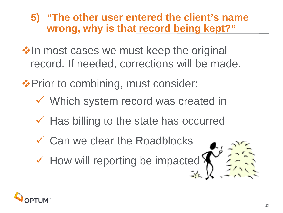### **5) "The other user entered the client's name wrong, why is that record being kept?"**

❖ In most cases we must keep the original record. If needed, corrections will be made.

❖ Prior to combining, must consider:

- Which system record was created in
- $\checkmark$  Has billing to the state has occurred
- Can we clear the Roadblocks
- $\checkmark$  How will reporting be impact[ed](http://www.google.com/url?sa=i&rct=j&q=&esrc=s&frm=1&source=images&cd=&cad=rja&uact=8&ved=0CAcQjRxqFQoTCJuM_Oqk6McCFQlKkgodLQcLoA&url=http://www.clipartbest.com/cartoon-haystack&psig=AFQjCNG850n7u6HIX7tdOxxf1EC3f5dp6A&ust=1441830726739641)  $\checkmark$

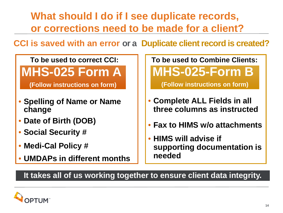**What should I do if I see duplicate records, or corrections need to be made for a client?**

**CCI is saved with an error or a Duplicate client record is created?**

### **To be used to correct CCI:**

### **MHS-025 Form A**

**(Follow instructions on form)**

- **Spelling of Name or Name change**
- **Date of Birth (DOB)**
- **Social Security #**
- **Medi-Cal Policy #**
- **UMDAPs in different months**

**To be used to Combine Clients: MHS-025-Form B** 

**(Follow instructions on form)**

- **Complete ALL Fields in all three columns as instructed**
- **Fax to HIMS w/o attachments**
- **HIMS will advise if supporting documentation is needed**

### **It takes all of us working together to ensure client data integrity.**